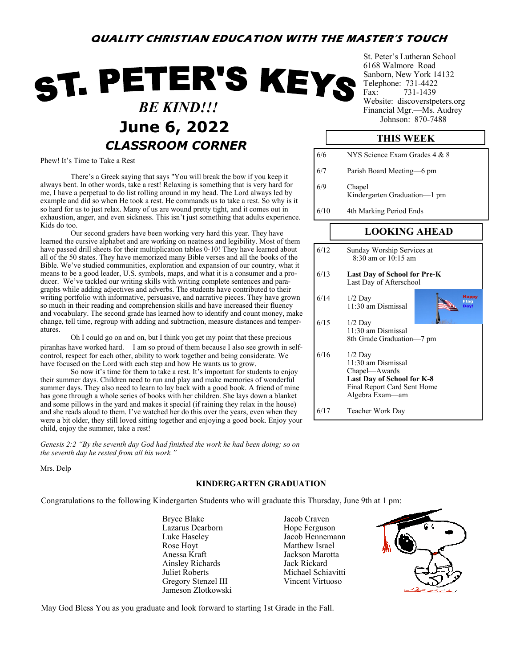# **QUALITY CHRISTIAN EDUCATION WITH THE MASTER'S TOUCH**

# ST. PETER'S KEYS  *BE KIND!!!* **June 6, 2022** *Johnson: 870-7488 CLASSROOM CORNER*

Phew! It's Time to Take a Rest

There's a Greek saying that says "You will break the bow if you keep it always bent. In other words, take a rest! Relaxing is something that is very hard for me, I have a perpetual to do list rolling around in my head. The Lord always led by example and did so when He took a rest. He commands us to take a rest. So why is it so hard for us to just relax. Many of us are wound pretty tight, and it comes out in exhaustion, anger, and even sickness. This isn't just something that adults experience. Kids do too.

Our second graders have been working very hard this year. They have learned the cursive alphabet and are working on neatness and legibility. Most of them have passed drill sheets for their multiplication tables 0-10! They have learned about all of the 50 states. They have memorized many Bible verses and all the books of the Bible. We've studied communities, exploration and expansion of our country, what it means to be a good leader, U.S. symbols, maps, and what it is a consumer and a producer. We've tackled our writing skills with writing complete sentences and paragraphs while adding adjectives and adverbs. The students have contributed to their writing portfolio with informative, persuasive, and narrative pieces. They have grown so much in their reading and comprehension skills and have increased their fluency and vocabulary. The second grade has learned how to identify and count money, make change, tell time, regroup with adding and subtraction, measure distances and temperatures.

Oh I could go on and on, but I think you get my point that these precious piranhas have worked hard. I am so proud of them because I also see growth in selfcontrol, respect for each other, ability to work together and being considerate. We have focused on the Lord with each step and how He wants us to grow.

So now it's time for them to take a rest. It's important for students to enjoy their summer days. Children need to run and play and make memories of wonderful summer days. They also need to learn to lay back with a good book. A friend of mine has gone through a whole series of books with her children. She lays down a blanket and some pillows in the yard and makes it special (if raining they relax in the house) and she reads aloud to them. I've watched her do this over the years, even when they were a bit older, they still loved sitting together and enjoying a good book. Enjoy your child, enjoy the summer, take a rest!

*Genesis 2:2 "By the seventh day God had finished the work he had been doing; so on the seventh day he rested from all his work."*

Mrs. Delp

### **KINDERGARTEN GRADUATION**

Congratulations to the following Kindergarten Students who will graduate this Thursday, June 9th at 1 pm:

Bryce Blake Jacob Craven<br>
Lazarus Dearborn Hope Ferguson Lazarus Dearborn Luke Haseley Jacob Hennemann Rose Hoyt Matthew Israel Anessa Kraft Jackson Marotta Ainsley Richards Jack Rickard Juliet Roberts Michael Schiavitti Gregory Stenzel III Vincent Virtuoso Jameson Zlotkowski



St. Peter's Lutheran School 6168 Walmore Road Sanborn, New York 14132 Telephone: 731-4422 Fax: 731-1439 Website: discoverstpeters.org Financial Mgr.—Ms. Audrey

## **THIS WEEK**

| 6/6  | NYS Science Exam Grades 4 & 8          |
|------|----------------------------------------|
| 6/7  | Parish Board Meeting-6 pm              |
| 6/9  | Chapel<br>Kindergarten Graduation—1 pm |
| 6/10 | 4th Marking Period Ends                |
|      |                                        |
|      |                                        |

## **LOOKING AHEAD**

| 6/12 | Sunday Worship Services at<br>$8:30$ am or $10:15$ am                                                                                   |
|------|-----------------------------------------------------------------------------------------------------------------------------------------|
| 6/13 | <b>Last Day of School for Pre-K</b><br>Last Day of Afterschool                                                                          |
| 6/14 | <b>Happy</b><br>$1/2$ Day<br>Flag<br>11:30 am Dismissal                                                                                 |
| 6/15 | $1/2$ Day<br>11:30 am Dismissal<br>8th Grade Graduation-7 pm                                                                            |
| 6/16 | $1/2$ Day<br>11:30 am Dismissal<br>Chapel—Awards<br><b>Last Day of School for K-8</b><br>Final Report Card Sent Home<br>Algebra Exam—am |
| 6/17 | Teacher Work Day                                                                                                                        |

May God Bless You as you graduate and look forward to starting 1st Grade in the Fall.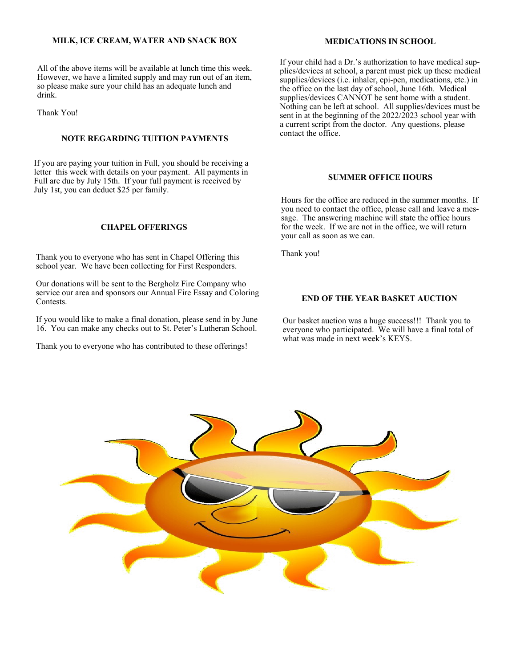### **MILK, ICE CREAM, WATER AND SNACK BOX**

All of the above items will be available at lunch time this week. However, we have a limited supply and may run out of an item, so please make sure your child has an adequate lunch and drink.

Thank You!

# contact the office. **NOTE REGARDING TUITION PAYMENTS**

If you are paying your tuition in Full, you should be receiving a letter this week with details on your payment. All payments in Full are due by July 15th. If your full payment is received by July 1st, you can deduct \$25 per family.

### **CHAPEL OFFERINGS**

Thank you to everyone who has sent in Chapel Offering this school year. We have been collecting for First Responders.

Our donations will be sent to the Bergholz Fire Company who service our area and sponsors our Annual Fire Essay and Coloring Contests.

If you would like to make a final donation, please send in by June 16. You can make any checks out to St. Peter's Lutheran School.

Thank you to everyone who has contributed to these offerings!

### **MEDICATIONS IN SCHOOL**

If your child had a Dr.'s authorization to have medical supplies/devices at school, a parent must pick up these medical supplies/devices (i.e. inhaler, epi-pen, medications, etc.) in the office on the last day of school, June 16th. Medical supplies/devices CANNOT be sent home with a student. Nothing can be left at school. All supplies/devices must be sent in at the beginning of the 2022/2023 school year with a current script from the doctor. Any questions, please

### **SUMMER OFFICE HOURS**

Hours for the office are reduced in the summer months. If you need to contact the office, please call and leave a message. The answering machine will state the office hours for the week. If we are not in the office, we will return your call as soon as we can.

Thank you!

#### **END OF THE YEAR BASKET AUCTION**

Our basket auction was a huge success!!! Thank you to everyone who participated. We will have a final total of what was made in next week's KEYS.